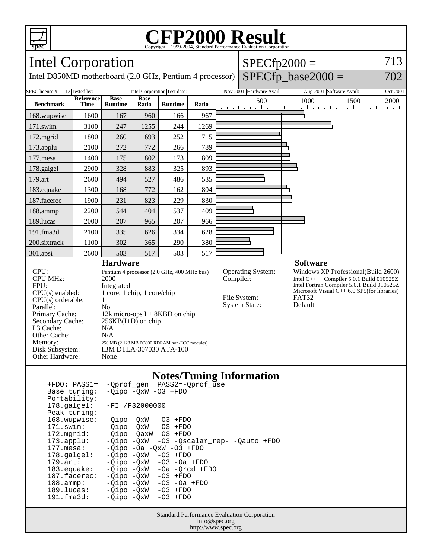

## **CFP2000 Result** Copyright ©1999-2004, Standard Performance Evaluati



| $+FDO: PASS1=$        | -Oprof gen PASS2=-Oprof use              |
|-----------------------|------------------------------------------|
| Base tuning:          | $-Oipo$ $-OxW$ $-O3$ $+FDO$              |
| Portability:          |                                          |
|                       | 178.galgel: -FI /F32000000               |
| Peak tuning:          |                                          |
| 168.wupwise:          | $-Oipo -OXW - O3 + FDO$                  |
| 171.swim:             | $-Oipo$ $-OxW$ $-O3$ $+FDO$              |
| 172.mgrid:            | $-Oipo$ $-OaxW$ $-O3$ $+FDO$             |
| $173.appendu$ :       | -Qipo -QxW -03 -Qscalar_rep- -Qauto +FDO |
| 177.mesa:             | $-Oipo -Oa -OXW -O3 + FDO$               |
| $178.\text{qalgel}$ : | $-Oipo$ $-OxW$ $-O3$ $+FDO$              |
| $179.\text{art}$ :    | $-Oipo$ $-OxW$ $-O3$ $-Oa$ $+FDO$        |
| $183$ . equake:       | $-Oipo$ $-OxW$ $-Oa$ $-Orcd$ $+FDO$      |
| $187.$ facerec:       | $-Oipo$ $-OxW$ $-O3$ $+FDO$              |
| $188.\text{amp}:$     | -03 -0a +FD0<br>-Oipo -OxW               |
| 189.lucas:            | $-Oipo$ $-OxW$ $-O3$ $+FDO$              |
| 191.fma3d:            | -Oipo -OxW<br>$-03$ +FDO                 |
|                       |                                          |

Standard Performance Evaluation Corporation info@spec.org http://www.spec.org